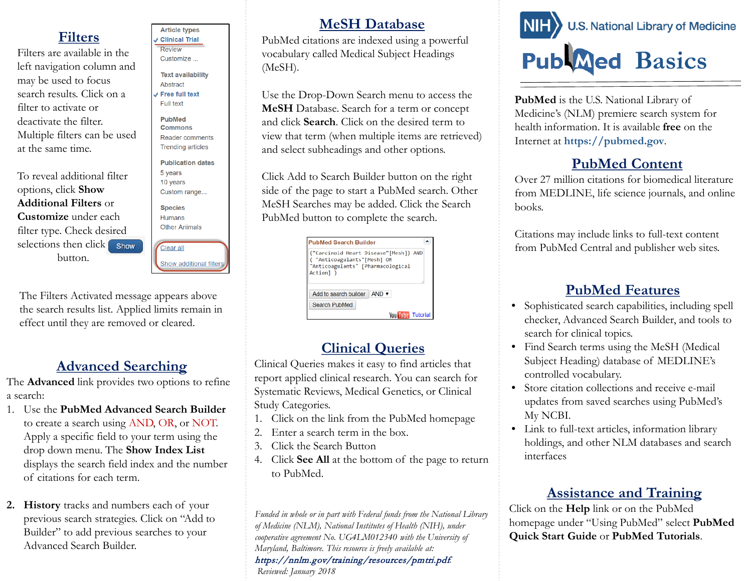## **Filters**

Filters are available in the left navigation column and may be used to focus search results. Click on a filter to activate or deactivate the filter. Multiple filters can be used at the same time.

To reveal additional filter options, click **Show Additional Filters** or **Customize** under each filter type. Check desired selections then  $click$  show button.

**Article types Clinical Trial** Review Customize ... **Text availability** Abstract Free full text Full text **PubMed Commons Reader comments Trending articles Publication dates** 5 years 10 years Custom range... **Species Humans Other Animals** Clear all Show additional filter

The Filters Activated message appears above the search results list. Applied limits remain in effect until they are removed or cleared.

#### **Advanced Searching**

The **Advanced** link provides two options to refine a search:

- 1. Use the **PubMed Advanced Search Builder** to create a search using AND, OR, or NOT. Apply a specific field to your term using the drop down menu. The **Show Index List**  displays the search field index and the number of citations for each term.
- **2. History** tracks and numbers each of your previous search strategies. Click on "Add to Builder" to add previous searches to your Advanced Search Builder.

#### **MeSH Database**

PubMed citations are indexed using a powerful vocabulary called Medical Subject Headings (MeSH).

Use the Drop-Down Search menu to access the **MeSH** Database. Search for a term or concept and click **Search**. Click on the desired term to view that term (when multiple items are retrieved) and select subheadings and other options.

Click Add to Search Builder button on the right side of the page to start a PubMed search. Other MeSH Searches may be added. Click the Search PubMed button to complete the search.

| <b>PubMed Search Builder</b>                                                                                        |  |
|---------------------------------------------------------------------------------------------------------------------|--|
| "Carcinoid Heart Disease"[Mesh]) AND<br>"Anticoagulants"[Mesh] OR<br>"Anticoagulants" [Pharmacological<br>Action] ) |  |
|                                                                                                                     |  |
| Add to search builder<br>$AND \rightarrow$                                                                          |  |
| Search PubMed                                                                                                       |  |

#### **Clinical Queries**

Clinical Queries makes it easy to find articles that report applied clinical research. You can search for Systematic Reviews, Medical Genetics, or Clinical Study Categories.

- 1. Click on the link from the PubMed homepage
- 2. Enter a search term in the box.
- 3. Click the Search Button
- 4. Click **See All** at the bottom of the page to return to PubMed.

*Funded in whole or in part with Federal funds from the National Library of Medicine (NLM), National Institutes of Health (NIH), under cooperative agreement No. UG4LM012340 with the University of Maryland, Baltimore. This resource is freely available at:*  https://nnlm.gov/training/resources/pmtri.pdf. *Reviewed: January 2018*



**PubMed** is the U.S. National Library of Medicine's (NLM) premiere search system for health information. It is available **free** on the Internet at **https://pubmed.gov**.

## **PubMed Content**

Over 27 million citations for biomedical literature from MEDLINE, life science journals, and online books.

Citations may include links to full-text content from PubMed Central and publisher web sites.

#### **PubMed Features**

- Sophisticated search capabilities, including spell checker, Advanced Search Builder, and tools to search for clinical topics.
- Find Search terms using the MeSH (Medical Subject Heading) database of MEDLINE's controlled vocabulary.
- Store citation collections and receive e-mail updates from saved searches using PubMed's My NCBI.
- Link to full-text articles, information library holdings, and other NLM databases and search interfaces

#### **Assistance and Training**

Click on the **Help** link or on the PubMed homepage under "Using PubMed" select **PubMed Quick Start Guide** or **PubMed Tutorials**.